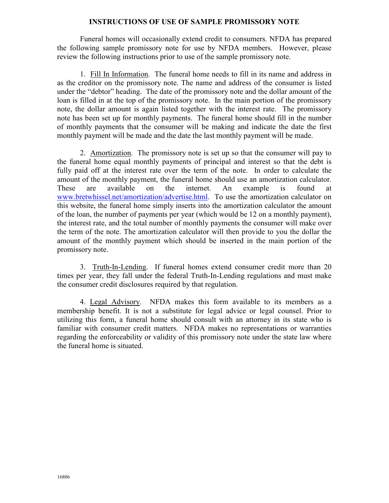## INSTRUCTIONS OF USE OF SAMPLE PROMISSORY NOTE

Funeral homes will occasionally extend credit to consumers. NFDA has prepared the following sample promissory note for use by NFDA members. However, please review the following instructions prior to use of the sample promissory note.

1. Fill In Information. The funeral home needs to fill in its name and address in as the creditor on the promissory note. The name and address of the consumer is listed under the "debtor" heading. The date of the promissory note and the dollar amount of the loan is filled in at the top of the promissory note. In the main portion of the promissory note, the dollar amount is again listed together with the interest rate. The promissory note has been set up for monthly payments. The funeral home should fill in the number of monthly payments that the consumer will be making and indicate the date the first monthly payment will be made and the date the last monthly payment will be made.

2. Amortization. The promissory note is set up so that the consumer will pay to the funeral home equal monthly payments of principal and interest so that the debt is fully paid off at the interest rate over the term of the note. In order to calculate the amount of the monthly payment, the funeral home should use an amortization calculator. These are available on the internet. An example is found at www.bretwhissel.net/amortization/advertise.html. To use the amortization calculator on this website, the funeral home simply inserts into the amortization calculator the amount of the loan, the number of payments per year (which would be 12 on a monthly payment), the interest rate, and the total number of monthly payments the consumer will make over the term of the note. The amortization calculator will then provide to you the dollar the amount of the monthly payment which should be inserted in the main portion of the promissory note.

3. Truth-In-Lending. If funeral homes extend consumer credit more than 20 times per year, they fall under the federal Truth-In-Lending regulations and must make the consumer credit disclosures required by that regulation.

4. Legal Advisory. NFDA makes this form available to its members as a membership benefit. It is not a substitute for legal advice or legal counsel. Prior to utilizing this form, a funeral home should consult with an attorney in its state who is familiar with consumer credit matters. NFDA makes no representations or warranties regarding the enforceability or validity of this promissory note under the state law where the funeral home is situated.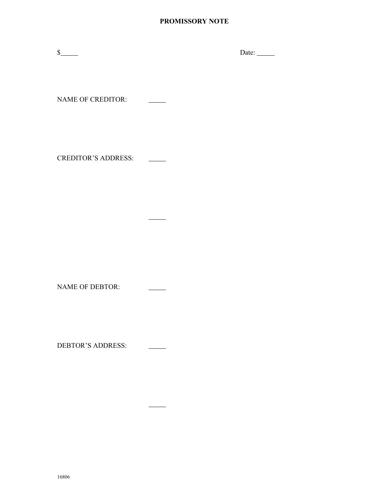## PROMISSORY NOTE

\$

NAME OF CREDITOR:

CREDITOR'S ADDRESS:

 $\frac{1}{1}$ 

 $\sim$  100  $\sim$ 

NAME OF DEBTOR:

DEBTOR'S ADDRESS: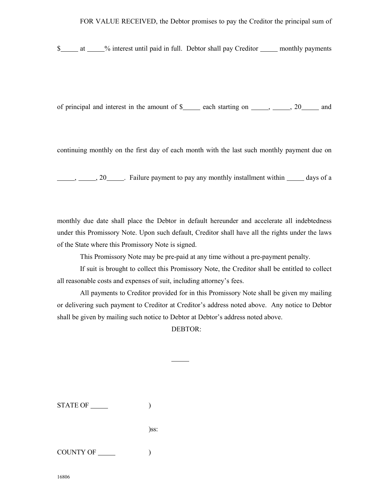\$\_\_\_\_\_\_\_ at \_\_\_\_\_% interest until paid in full. Debtor shall pay Creditor \_\_\_\_\_\_ monthly payments

of principal and interest in the amount of  $\frac{1}{2}$  each starting on  $\frac{1}{2}$ ,  $\frac{1}{20}$  and

continuing monthly on the first day of each month with the last such monthly payment due on

 $\frac{1}{2}$ ,  $\frac{20}{1}$ . Failure payment to pay any monthly installment within  $\frac{1}{2}$  days of a

monthly due date shall place the Debtor in default hereunder and accelerate all indebtedness under this Promissory Note. Upon such default, Creditor shall have all the rights under the laws of the State where this Promissory Note is signed.

This Promissory Note may be pre-paid at any time without a pre-payment penalty.

If suit is brought to collect this Promissory Note, the Creditor shall be entitled to collect all reasonable costs and expenses of suit, including attorney's fees.

All payments to Creditor provided for in this Promissory Note shall be given my mailing or delivering such payment to Creditor at Creditor's address noted above. Any notice to Debtor shall be given by mailing such notice to Debtor at Debtor's address noted above.

DEBTOR:

STATE OF )

)ss:

COUNTY OF )

16806